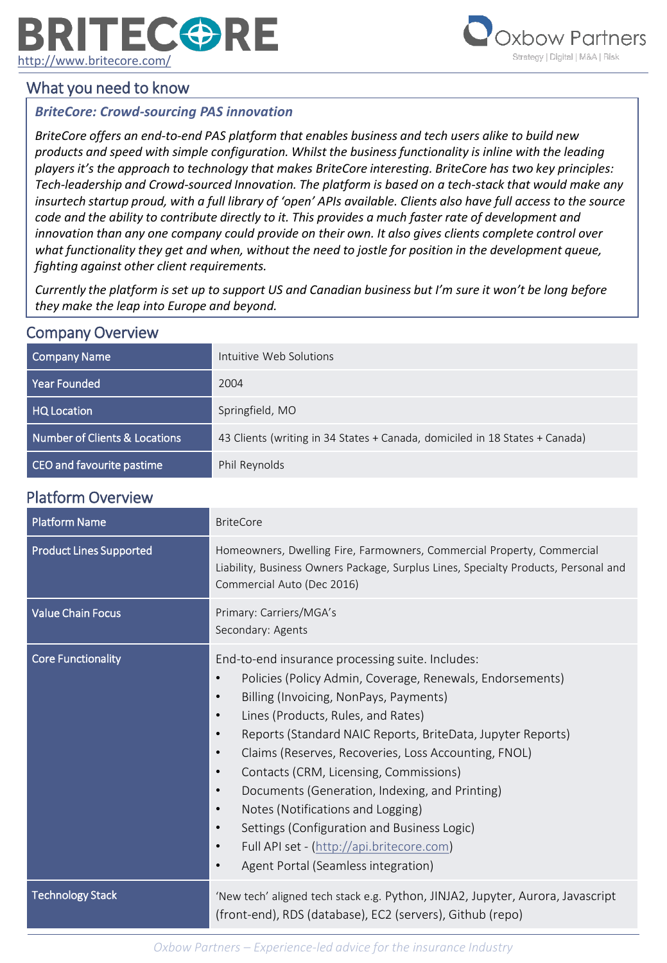# **RITECORE** <http://www.britecore.com/>



# What you need to know

### *BriteCore: Crowd-sourcing PAS innovation*

*BriteCore offers an end-to-end PAS platform that enables business and tech users alike to build new products and speed with simple configuration. Whilst the business functionality is inline with the leading players it's the approach to technology that makes BriteCore interesting. BriteCore has two key principles: Tech-leadership and Crowd-sourced Innovation. The platform is based on a tech-stack that would make any insurtech startup proud, with a full library of 'open' APIs available. Clients also have full access to the source code and the ability to contribute directly to it. This provides a much faster rate of development and innovation than any one company could provide on their own. It also gives clients complete control over what functionality they get and when, without the need to jostle for position in the development queue, fighting against other client requirements.* 

*Currently the platform is set up to support US and Canadian business but I'm sure it won't be long before they make the leap into Europe and beyond.*

### Company Overview

| Company Name                  | Intuitive Web Solutions                                                     |
|-------------------------------|-----------------------------------------------------------------------------|
| Year Founded                  | 2004                                                                        |
| HQ Location                   | Springfield, MO                                                             |
| Number of Clients & Locations | 43 Clients (writing in 34 States + Canada, domiciled in 18 States + Canada) |
| CEO and favourite pastime     | Phil Reynolds                                                               |

## Platform Overview

| <b>Platform Name</b>           | <b>BriteCore</b>                                                                                                                                                                                                                                                                                                                                                                                                                                                                                                                                                                                                                                                                                                           |
|--------------------------------|----------------------------------------------------------------------------------------------------------------------------------------------------------------------------------------------------------------------------------------------------------------------------------------------------------------------------------------------------------------------------------------------------------------------------------------------------------------------------------------------------------------------------------------------------------------------------------------------------------------------------------------------------------------------------------------------------------------------------|
| <b>Product Lines Supported</b> | Homeowners, Dwelling Fire, Farmowners, Commercial Property, Commercial<br>Liability, Business Owners Package, Surplus Lines, Specialty Products, Personal and<br>Commercial Auto (Dec 2016)                                                                                                                                                                                                                                                                                                                                                                                                                                                                                                                                |
| <b>Value Chain Focus</b>       | Primary: Carriers/MGA's<br>Secondary: Agents                                                                                                                                                                                                                                                                                                                                                                                                                                                                                                                                                                                                                                                                               |
| <b>Core Functionality</b>      | End-to-end insurance processing suite. Includes:<br>Policies (Policy Admin, Coverage, Renewals, Endorsements)<br>Billing (Invoicing, NonPays, Payments)<br>$\bullet$<br>Lines (Products, Rules, and Rates)<br>$\bullet$<br>Reports (Standard NAIC Reports, BriteData, Jupyter Reports)<br>$\bullet$<br>Claims (Reserves, Recoveries, Loss Accounting, FNOL)<br>$\bullet$<br>Contacts (CRM, Licensing, Commissions)<br>$\bullet$<br>Documents (Generation, Indexing, and Printing)<br>$\bullet$<br>Notes (Notifications and Logging)<br>$\bullet$<br>Settings (Configuration and Business Logic)<br>$\bullet$<br>Full API set - (http://api.britecore.com)<br>$\bullet$<br>Agent Portal (Seamless integration)<br>$\bullet$ |
| <b>Technology Stack</b>        | 'New tech' aligned tech stack e.g. Python, JINJA2, Jupyter, Aurora, Javascript<br>(front-end), RDS (database), EC2 (servers), Github (repo)                                                                                                                                                                                                                                                                                                                                                                                                                                                                                                                                                                                |